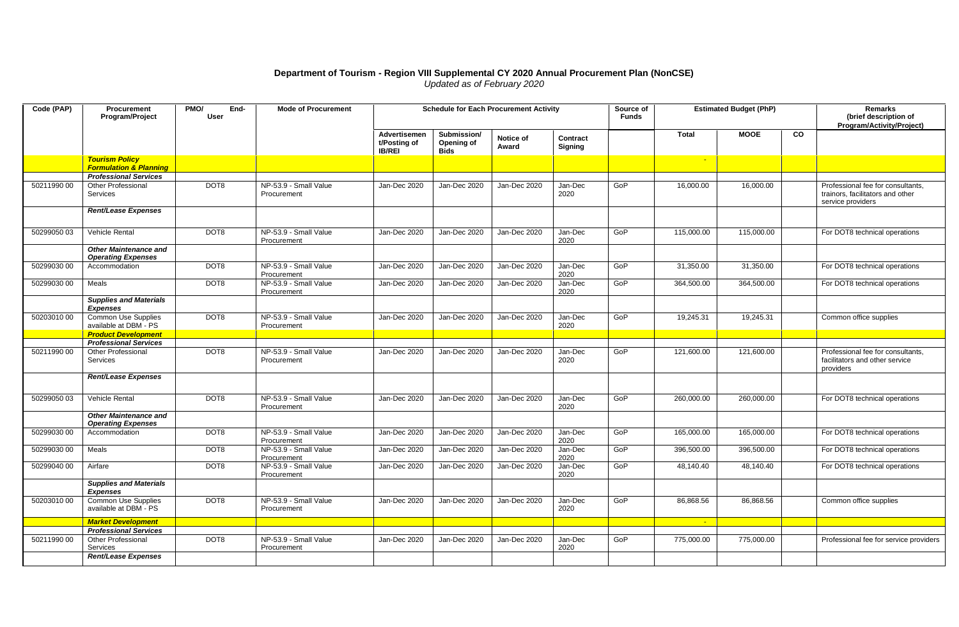## **Department of Tourism - Region VIII Supplemental CY 2020 Annual Procurement Plan (NonCSE)** *Updated as of February 2020*

| Code (PAP)  | Procurement<br>Program/Project                             | PMO/<br>End-<br>User | <b>Mode of Procurement</b>           | <b>Schedule for Each Procurement Activity</b> |                                          |                    |                     | Source of<br><b>Funds</b> | <b>Estimated Budget (PhP)</b> |             |           | Remarks<br>(brief description of<br>Program/Activity/Project)                              |
|-------------|------------------------------------------------------------|----------------------|--------------------------------------|-----------------------------------------------|------------------------------------------|--------------------|---------------------|---------------------------|-------------------------------|-------------|-----------|--------------------------------------------------------------------------------------------|
|             |                                                            |                      |                                      | Advertisemen<br>t/Posting of<br><b>IB/REI</b> | Submission/<br>Opening of<br><b>Bids</b> | Notice of<br>Award | Contract<br>Signing |                           | <b>Total</b>                  | <b>MOOE</b> | <b>CO</b> |                                                                                            |
|             | <b>Tourism Policy</b><br><b>Formulation &amp; Planning</b> |                      |                                      |                                               |                                          |                    |                     |                           | - 20                          |             |           |                                                                                            |
|             | <b>Professional Services</b>                               |                      |                                      |                                               |                                          |                    |                     |                           |                               |             |           |                                                                                            |
| 5021199000  | Other Professional<br>Services                             | DOT8                 | NP-53.9 - Small Value<br>Procurement | Jan-Dec 2020                                  | Jan-Dec 2020                             | Jan-Dec 2020       | Jan-Dec<br>2020     | GoP                       | 16,000.00                     | 16,000.00   |           | Professional fee for consultants,<br>trainors, facilitators and other<br>service providers |
|             | Rent/Lease Expenses                                        |                      |                                      |                                               |                                          |                    |                     |                           |                               |             |           |                                                                                            |
| 50299050 03 | Vehicle Rental                                             | DOT8                 | NP-53.9 - Small Value<br>Procurement | Jan-Dec 2020                                  | Jan-Dec 2020                             | Jan-Dec 2020       | Jan-Dec<br>2020     | GoP                       | 115,000.00                    | 115,000.00  |           | For DOT8 technical operations                                                              |
|             | <b>Other Maintenance and</b><br><b>Operating Expenses</b>  |                      |                                      |                                               |                                          |                    |                     |                           |                               |             |           |                                                                                            |
| 50299030 00 | Accommodation                                              | DOT8                 | NP-53.9 - Small Value<br>Procurement | Jan-Dec 2020                                  | Jan-Dec 2020                             | Jan-Dec 2020       | Jan-Dec<br>2020     | GoP                       | 31,350.00                     | 31,350.00   |           | For DOT8 technical operations                                                              |
| 50299030 00 | Meals                                                      | DOT8                 | NP-53.9 - Small Value<br>Procurement | Jan-Dec 2020                                  | Jan-Dec 2020                             | Jan-Dec 2020       | Jan-Dec<br>2020     | GoP                       | 364,500.00                    | 364,500.00  |           | For DOT8 technical operations                                                              |
|             | <b>Supplies and Materials</b><br><b>Expenses</b>           |                      |                                      |                                               |                                          |                    |                     |                           |                               |             |           |                                                                                            |
| 5020301000  | <b>Common Use Supplies</b><br>available at DBM - PS        | DOT8                 | NP-53.9 - Small Value<br>Procurement | Jan-Dec 2020                                  | Jan-Dec 2020                             | Jan-Dec 2020       | Jan-Dec<br>2020     | GoP                       | 19,245.31                     | 19,245.31   |           | Common office supplies                                                                     |
|             | <b>Product Development</b>                                 |                      |                                      |                                               |                                          |                    |                     |                           |                               |             |           |                                                                                            |
|             | <b>Professional Services</b><br><b>Other Professional</b>  | DOT8                 | NP-53.9 - Small Value                |                                               | Jan-Dec 2020                             | Jan-Dec 2020       | Jan-Dec             | GoP                       | 121,600.00                    |             |           | Professional fee for consultants,                                                          |
| 50211990 00 | Services                                                   |                      | Procurement                          | Jan-Dec 2020                                  |                                          |                    | 2020                |                           |                               | 121,600.00  |           | facilitators and other service<br>providers                                                |
|             | Rent/Lease Expenses                                        |                      |                                      |                                               |                                          |                    |                     |                           |                               |             |           |                                                                                            |
| 50299050 03 | Vehicle Rental                                             | DOT8                 | NP-53.9 - Small Value<br>Procurement | Jan-Dec 2020                                  | Jan-Dec 2020                             | Jan-Dec 2020       | Jan-Dec<br>2020     | GoP                       | 260,000.00                    | 260,000.00  |           | For DOT8 technical operations                                                              |
|             | <b>Other Maintenance and</b><br><b>Operating Expenses</b>  |                      |                                      |                                               |                                          |                    |                     |                           |                               |             |           |                                                                                            |
| 50299030 00 | Accommodation                                              | DOT8                 | NP-53.9 - Small Value<br>Procurement | Jan-Dec 2020                                  | Jan-Dec 2020                             | Jan-Dec 2020       | Jan-Dec<br>2020     | GoP                       | 165,000.00                    | 165,000.00  |           | For DOT8 technical operations                                                              |
| 50299030 00 | Meals                                                      | DOT8                 | NP-53.9 - Small Value<br>Procurement | Jan-Dec 2020                                  | Jan-Dec 2020                             | Jan-Dec 2020       | Jan-Dec<br>2020     | GoP                       | 396,500.00                    | 396,500.00  |           | For DOT8 technical operations                                                              |
| 50299040 00 | Airfare                                                    | DOT8                 | NP-53.9 - Small Value<br>Procurement | Jan-Dec 2020                                  | Jan-Dec 2020                             | Jan-Dec 2020       | Jan-Dec<br>2020     | GoP                       | 48,140.40                     | 48,140.40   |           | For DOT8 technical operations                                                              |
|             | <b>Supplies and Materials</b><br><b>Expenses</b>           |                      |                                      |                                               |                                          |                    |                     |                           |                               |             |           |                                                                                            |
| 50203010 00 | Common Use Supplies<br>available at DBM - PS               | DOT8                 | NP-53.9 - Small Value<br>Procurement | Jan-Dec 2020                                  | Jan-Dec 2020                             | Jan-Dec 2020       | Jan-Dec<br>2020     | GoP                       | 86,868.56                     | 86,868.56   |           | Common office supplies                                                                     |
|             | <b>Market Development</b>                                  |                      |                                      |                                               |                                          |                    |                     |                           | <b>Page</b>                   |             |           |                                                                                            |
|             | <b>Professional Services</b>                               |                      |                                      |                                               |                                          |                    |                     |                           |                               |             |           |                                                                                            |
| 5021199000  | Other Professional<br>Services                             | DOT8                 | NP-53.9 - Small Value<br>Procurement | Jan-Dec 2020                                  | Jan-Dec 2020                             | Jan-Dec 2020       | Jan-Dec<br>2020     | GoP                       | 775,000.00                    | 775,000.00  |           | Professional fee for service providers                                                     |
|             | Rent/Lease Expenses                                        |                      |                                      |                                               |                                          |                    |                     |                           |                               |             |           |                                                                                            |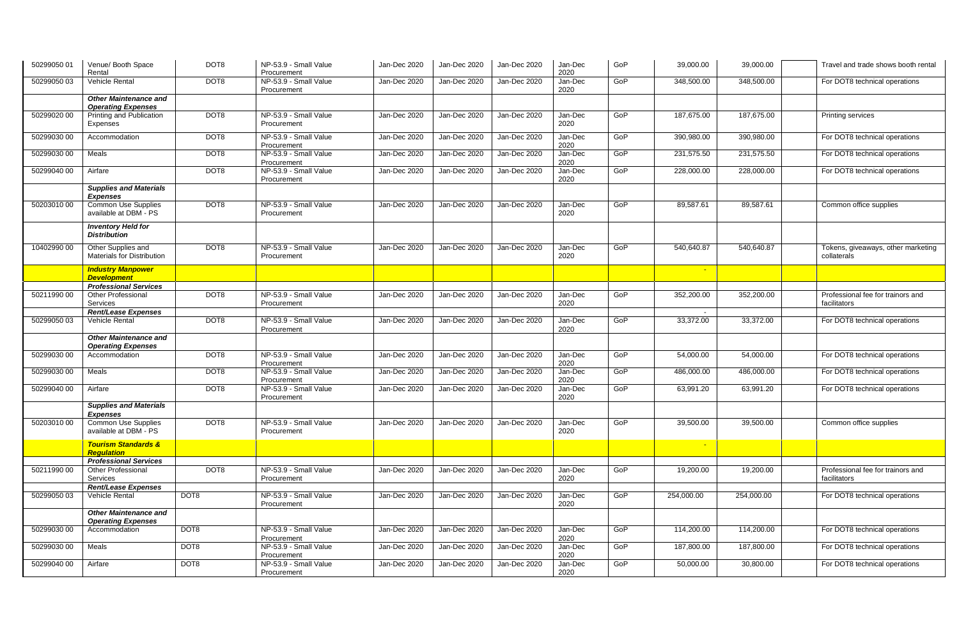| 50299050 01 | Venue/ Booth Space<br>Rental                              | DOT8 | NP-53.9 - Small Value<br>Procurement | Jan-Dec 2020 | Jan-Dec 2020 | Jan-Dec 2020 | Jan-Dec<br>2020 | GoP | 39,000.00  | 39,000.00  | Travel and trade shows booth rental               |
|-------------|-----------------------------------------------------------|------|--------------------------------------|--------------|--------------|--------------|-----------------|-----|------------|------------|---------------------------------------------------|
| 50299050 03 | <b>Vehicle Rental</b>                                     | DOT8 | NP-53.9 - Small Value<br>Procurement | Jan-Dec 2020 | Jan-Dec 2020 | Jan-Dec 2020 | Jan-Dec<br>2020 | GoP | 348,500.00 | 348,500.00 | For DOT8 technical operations                     |
|             | <b>Other Maintenance and</b><br><b>Operating Expenses</b> |      |                                      |              |              |              |                 |     |            |            |                                                   |
| 50299020 00 | Printing and Publication<br>Expenses                      | DOT8 | NP-53.9 - Small Value<br>Procurement | Jan-Dec 2020 | Jan-Dec 2020 | Jan-Dec 2020 | Jan-Dec<br>2020 | GoP | 187,675.00 | 187,675.00 | Printing services                                 |
| 50299030 00 | Accommodation                                             | DOT8 | NP-53.9 - Small Value<br>Procurement | Jan-Dec 2020 | Jan-Dec 2020 | Jan-Dec 2020 | Jan-Dec<br>2020 | GoP | 390,980.00 | 390,980.00 | For DOT8 technical operations                     |
| 50299030 00 | Meals                                                     | DOT8 | NP-53.9 - Small Value<br>Procurement | Jan-Dec 2020 | Jan-Dec 2020 | Jan-Dec 2020 | Jan-Dec<br>2020 | GoP | 231,575.50 | 231,575.50 | For DOT8 technical operations                     |
| 50299040 00 | Airfare                                                   | DOT8 | NP-53.9 - Small Value<br>Procurement | Jan-Dec 2020 | Jan-Dec 2020 | Jan-Dec 2020 | Jan-Dec<br>2020 | GoP | 228,000.00 | 228,000.00 | For DOT8 technical operations                     |
|             | <b>Supplies and Materials</b><br><b>Expenses</b>          |      |                                      |              |              |              |                 |     |            |            |                                                   |
| 50203010 00 | Common Use Supplies<br>available at DBM - PS              | DOT8 | NP-53.9 - Small Value<br>Procurement | Jan-Dec 2020 | Jan-Dec 2020 | Jan-Dec 2020 | Jan-Dec<br>2020 | GoP | 89,587.61  | 89,587.61  | Common office supplies                            |
|             | <b>Inventory Held for</b><br><b>Distribution</b>          |      |                                      |              |              |              |                 |     |            |            |                                                   |
| 10402990 00 | Other Supplies and<br>Materials for Distribution          | DOT8 | NP-53.9 - Small Value<br>Procurement | Jan-Dec 2020 | Jan-Dec 2020 | Jan-Dec 2020 | Jan-Dec<br>2020 | GoP | 540,640.87 | 540,640.87 | Tokens, giveaways, other marketing<br>collaterals |
|             | <b>Industry Manpower</b><br><b>Development</b>            |      |                                      |              |              |              |                 |     |            |            |                                                   |
|             | <b>Professional Services</b>                              |      |                                      |              |              |              |                 |     |            |            |                                                   |
| 5021199000  | <b>Other Professional</b><br>Services                     | DOT8 | NP-53.9 - Small Value<br>Procurement | Jan-Dec 2020 | Jan-Dec 2020 | Jan-Dec 2020 | Jan-Dec<br>2020 | GoP | 352,200.00 | 352,200.00 | Professional fee for trainors and<br>facilitators |
|             | <b>Rent/Lease Expenses</b>                                |      |                                      |              |              |              |                 |     |            |            |                                                   |
| 50299050 03 | Vehicle Rental                                            | DOT8 | NP-53.9 - Small Value<br>Procurement | Jan-Dec 2020 | Jan-Dec 2020 | Jan-Dec 2020 | Jan-Dec<br>2020 | GoP | 33,372.00  | 33,372.00  | For DOT8 technical operations                     |
|             | <b>Other Maintenance and</b><br><b>Operating Expenses</b> |      |                                      |              |              |              |                 |     |            |            |                                                   |
| 50299030 00 | Accommodation                                             | DOT8 | NP-53.9 - Small Value<br>Procurement | Jan-Dec 2020 | Jan-Dec 2020 | Jan-Dec 2020 | Jan-Dec<br>2020 | GoP | 54,000.00  | 54,000.00  | For DOT8 technical operations                     |
| 50299030 00 | Meals                                                     | DOT8 | NP-53.9 - Small Value<br>Procurement | Jan-Dec 2020 | Jan-Dec 2020 | Jan-Dec 2020 | Jan-Dec<br>2020 | GoP | 486,000.00 | 486,000.00 | For DOT8 technical operations                     |
| 50299040 00 | Airfare                                                   | DOT8 | NP-53.9 - Small Value<br>Procurement | Jan-Dec 2020 | Jan-Dec 2020 | Jan-Dec 2020 | Jan-Dec<br>2020 | GoP | 63,991.20  | 63,991.20  | For DOT8 technical operations                     |
|             | <b>Supplies and Materials</b><br><b>Expenses</b>          |      |                                      |              |              |              |                 |     |            |            |                                                   |
| 50203010 00 | <b>Common Use Supplies</b><br>available at DBM - PS       | DOT8 | NP-53.9 - Small Value<br>Procurement | Jan-Dec 2020 | Jan-Dec 2020 | Jan-Dec 2020 | Jan-Dec<br>2020 | GoP | 39,500.00  | 39,500.00  | Common office supplies                            |
|             | <b>Tourism Standards &amp;</b><br><b>Regulation</b>       |      |                                      |              |              |              |                 |     |            |            |                                                   |
|             | <b>Professional Services</b>                              |      |                                      |              |              |              |                 |     |            |            |                                                   |
| 50211990 00 | <b>Other Professional</b><br>Services                     | DOT8 | NP-53.9 - Small Value<br>Procurement | Jan-Dec 2020 | Jan-Dec 2020 | Jan-Dec 2020 | Jan-Dec<br>2020 | GoP | 19,200.00  | 19,200.00  | Professional fee for trainors and<br>facilitators |
|             | Rent/Lease Expenses                                       |      |                                      |              |              |              |                 |     |            |            |                                                   |
| 50299050 03 | Vehicle Rental                                            | DOT8 | NP-53.9 - Small Value<br>Procurement | Jan-Dec 2020 | Jan-Dec 2020 | Jan-Dec 2020 | Jan-Dec<br>2020 | GoP | 254,000.00 | 254,000.00 | For DOT8 technical operations                     |
|             | <b>Other Maintenance and</b><br><b>Operating Expenses</b> |      |                                      |              |              |              |                 |     |            |            |                                                   |
| 50299030 00 | Accommodation                                             | DOT8 | NP-53.9 - Small Value<br>Procurement | Jan-Dec 2020 | Jan-Dec 2020 | Jan-Dec 2020 | Jan-Dec<br>2020 | GoP | 114,200.00 | 114,200.00 | For DOT8 technical operations                     |
| 50299030 00 | Meals                                                     | DOT8 | NP-53.9 - Small Value<br>Procurement | Jan-Dec 2020 | Jan-Dec 2020 | Jan-Dec 2020 | Jan-Dec<br>2020 | GoP | 187,800.00 | 187,800.00 | For DOT8 technical operations                     |
| 50299040 00 | Airfare                                                   | DOT8 | NP-53.9 - Small Value<br>Procurement | Jan-Dec 2020 | Jan-Dec 2020 | Jan-Dec 2020 | Jan-Dec<br>2020 | GoP | 50,000.00  | 30,800.00  | For DOT8 technical operations                     |